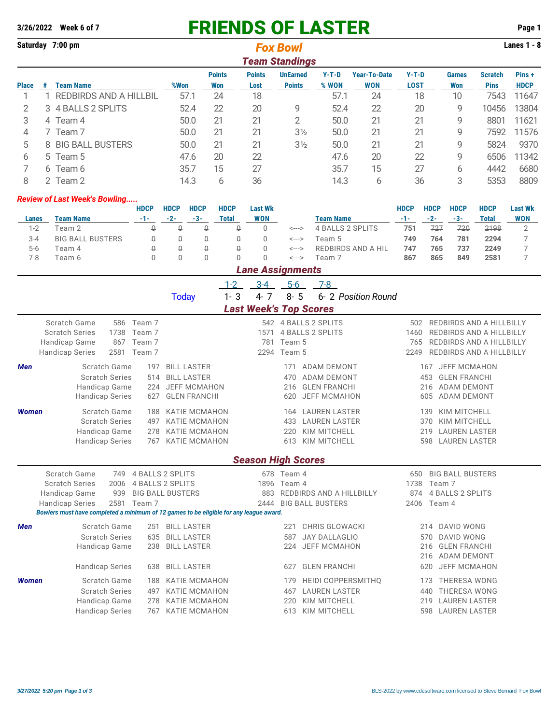**3/26/2022 Week 6 of 7** FRIENDS OF LASTER **Page 1 Saturday 7:00 pm Lanes 1 - 8** *Fox Bowl Team Standings* **Points Points UnEarned Y-T-D Year-To-Date Y-T-D Games Scratch Pins + Place # Team Name %Won Won Lost Points % WON WON LOST Won Pins HDCP** 1 1 REDBIRDS AND A HILLBIL 57.1 24 18 57.1 24 18 10 7543 11647 2 3 4 BALLS 2 SPLITS 52.4 22 20 9 52.4 22 20 9 10456 13804 3 4 Team 4 50.0 21 21 2 50.0 21 21 9 8801 11621 4 7 Team 7 50.0 21 21 3½ 50.0 21 21 9 7592 11576 5 8 BIG BALL BUSTERS 50.0 21 21 3½ 50.0 21 21 9 5824 9370 6 5 Team 5 47.6 20 22 47.6 20 22 9 6506 11342 7 6 Team 6 35.7 15 27 35.7 15 27 6 4442 6680 8 2 Team 2 14.3 6 36 14.3 6 36 3 5353 8809 *Review of Last Week's Bowling.....* **HDCP HDCP HDCP HDCP Last Wk HDCP HDCP HDCP HDCP Last Wk Lanes Team Name -1- -2- -3- Total WON Team Name -1- -2- -3- Total WON** 1-2 Team 2 0 0 0 0 0 <---> 4 BALLS 2 SPLITS **751** 727 720 2198 2 3-4 BIG BALL BUSTERS 0 0 0 0 0 <---> Team 5 **749 764 781 2294** 7 5-6 Team 4 0 0 0 0 0 <---> REDBIRDS AND A HIL **747 765 737 2249** 7 7-8 Team 6 0 0 0 0 0 <---> Team 7 **867 865 849 2581** 7 *Lane Assignments* 1-2 3-4 5-6 7-8 Today 1- 3 4- 7 8- 5 6- 2 *Position Round*

| <b>Last Week's Top Scores</b>                                                    |                                                                                                                           |                                        |                                                                                                                                                                         |                           |                                        |                                                                                                                                           |                            |                                                                                                                                                                                                           |  |  |  |
|----------------------------------------------------------------------------------|---------------------------------------------------------------------------------------------------------------------------|----------------------------------------|-------------------------------------------------------------------------------------------------------------------------------------------------------------------------|---------------------------|----------------------------------------|-------------------------------------------------------------------------------------------------------------------------------------------|----------------------------|-----------------------------------------------------------------------------------------------------------------------------------------------------------------------------------------------------------|--|--|--|
| Scratch Game<br><b>Scratch Series</b><br>Handicap Game<br><b>Handicap Series</b> | 586<br>1738<br>867<br>2581                                                                                                | Team 7<br>Team 7<br>Team 7<br>Team 7   |                                                                                                                                                                         | 1571<br>781<br>2294       | Team 5<br>Team 5                       | 542 4 BALLS 2 SPLITS<br><b>4 BALLS 2 SPLITS</b>                                                                                           | 502<br>1460<br>765<br>2249 | REDBIRDS AND A HILLBILLY<br>REDBIRDS AND A HILLBILLY<br><b>REDBIRDS AND A HILLBILLY</b><br>REDBIRDS AND A HILLBILLY                                                                                       |  |  |  |
| <b>Men</b>                                                                       | Scratch Game<br><b>Scratch Series</b><br>Handicap Game<br><b>Handicap Series</b>                                          | 197<br>514<br>224<br>627               | <b>BILL LASTER</b><br><b>BILL LASTER</b><br><b>JEFF MCMAHON</b><br><b>GLEN FRANCHI</b>                                                                                  |                           | 171<br>470<br>216<br>620               | <b>ADAM DEMONT</b><br>ADAM DEMONT<br><b>GLEN FRANCHI</b><br><b>JEFF MCMAHON</b>                                                           |                            | <b>JEFF MCMAHON</b><br>167<br><b>GLEN FRANCHI</b><br>453<br><b>ADAM DEMONT</b><br>216<br><b>ADAM DEMONT</b><br>605                                                                                        |  |  |  |
| <b>Women</b>                                                                     | Scratch Game<br><b>Scratch Series</b><br>Handicap Game<br><b>Handicap Series</b>                                          | 188<br>497<br>278<br>767               | <b>KATIE MCMAHON</b><br><b>KATIE MCMAHON</b><br><b>KATIE MCMAHON</b><br><b>KATIE MCMAHON</b>                                                                            |                           | 433<br>220<br>613                      | 164 LAUREN LASTER<br><b>LAUREN LASTER</b><br><b>KIM MITCHELL</b><br><b>KIM MITCHELL</b>                                                   |                            | KIM MITCHELL<br>139<br>KIM MITCHELL<br>370<br><b>LAUREN LASTER</b><br>219<br><b>LAUREN LASTER</b><br>598                                                                                                  |  |  |  |
|                                                                                  |                                                                                                                           |                                        |                                                                                                                                                                         | <b>Season High Scores</b> |                                        |                                                                                                                                           |                            |                                                                                                                                                                                                           |  |  |  |
| Scratch Game<br><b>Scratch Series</b><br>Handicap Game<br><b>Handicap Series</b> | 749<br>2006<br>939<br>2581                                                                                                | Team 7                                 | <b>4 BALLS 2 SPLITS</b><br><b>4 BALLS 2 SPLITS</b><br><b>BIG BALL BUSTERS</b><br>Bowlers must have completed a minimum of 12 games to be eligible for any league award. | 1896<br>883<br>2444       | 678 Team 4<br>Team 4                   | REDBIRDS AND A HILLBILLY<br><b>BIG BALL BUSTERS</b>                                                                                       | 650<br>1738<br>874<br>2406 | <b>BIG BALL BUSTERS</b><br>Team 7<br><b>4 BALLS 2 SPLITS</b><br>Team 4                                                                                                                                    |  |  |  |
| <b>Men</b><br><b>Women</b>                                                       | Scratch Game<br><b>Scratch Series</b><br>Handicap Game<br><b>Handicap Series</b><br>Scratch Game<br><b>Scratch Series</b> | 251<br>635<br>238<br>638<br>188<br>497 | <b>BILL LASTER</b><br><b>BILL LASTER</b><br><b>BILL LASTER</b><br><b>BILL LASTER</b><br><b>KATIE MCMAHON</b><br><b>KATIE MCMAHON</b>                                    |                           | 221<br>587<br>224<br>627<br>179<br>467 | <b>CHRIS GLOWACKI</b><br><b>JAY DALLAGLIO</b><br><b>JEFF MCMAHON</b><br><b>GLEN FRANCHI</b><br>HEIDI COPPERSMITHQ<br><b>LAUREN LASTER</b> |                            | <b>DAVID WONG</b><br>214<br><b>DAVID WONG</b><br>570<br><b>GLEN FRANCHI</b><br>216<br><b>ADAM DEMONT</b><br>216<br><b>JEFF MCMAHON</b><br>620<br><b>THERESA WONG</b><br>173<br><b>THERESA WONG</b><br>440 |  |  |  |
|                                                                                  | Handicap Game<br><b>Handicap Series</b>                                                                                   | 278<br>767                             | <b>KATIE MCMAHON</b><br><b>KATIE MCMAHON</b>                                                                                                                            |                           | 220<br>613                             | <b>KIM MITCHELL</b><br><b>KIM MITCHELL</b>                                                                                                |                            | <b>LAUREN LASTER</b><br>219<br><b>LAUREN LASTER</b><br>598                                                                                                                                                |  |  |  |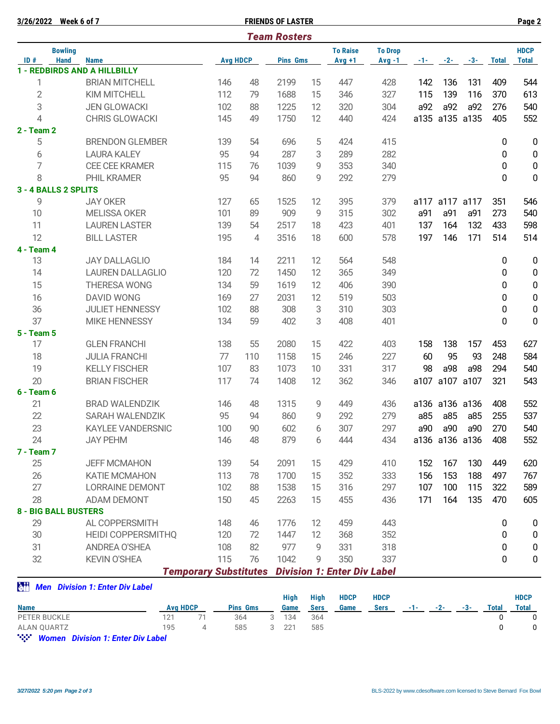|                | 3/26/2022 Week 6 of 7       |                                        |                              |     | <b>FRIENDS OF LASTER</b> |                |                                    |                |       |       |                |                | Page 2           |
|----------------|-----------------------------|----------------------------------------|------------------------------|-----|--------------------------|----------------|------------------------------------|----------------|-------|-------|----------------|----------------|------------------|
|                |                             |                                        |                              |     | <b>Team Rosters</b>      |                |                                    |                |       |       |                |                |                  |
|                | <b>Bowling</b>              |                                        |                              |     |                          |                | <b>To Raise</b>                    | <b>To Drop</b> |       |       |                |                | <b>HDCP</b>      |
| ID#            | <b>Hand</b>                 | <b>Name</b>                            | <b>Avg HDCP</b>              |     | <b>Pins Gms</b>          |                | $Avg +1$                           | $Avg -1$       | $-1-$ | $-2-$ | $-3-$          | <b>Total</b>   | <b>Total</b>     |
|                |                             | <b>1 - REDBIRDS AND A HILLBILLY</b>    |                              |     |                          |                |                                    |                |       |       |                |                |                  |
| 1              |                             | <b>BRIAN MITCHELL</b>                  | 146                          | 48  | 2199                     | 15             | 447                                | 428            | 142   | 136   | 131            | 409            | 544              |
| $\overline{2}$ |                             | KIM MITCHELL                           | 112                          | 79  | 1688                     | 15             | 346                                | 327            | 115   | 139   | 116            | 370            | 613              |
| 3              |                             | <b>JEN GLOWACKI</b>                    | 102                          | 88  | 1225                     | 12             | 320                                | 304            | a92   | a92   | a92            | 276            | 540              |
| $\overline{4}$ |                             | CHRIS GLOWACKI                         | 145                          | 49  | 1750                     | 12             | 440                                | 424            |       |       | a135 a135 a135 | 405            | 552              |
| 2 - Team 2     |                             |                                        |                              |     |                          |                |                                    |                |       |       |                |                |                  |
| 5              |                             | <b>BRENDON GLEMBER</b>                 | 139                          | 54  | 696                      | 5              | 424                                | 415            |       |       |                | 0              | $\pmb{0}$        |
| 6              |                             | <b>LAURA KALEY</b>                     | 95                           | 94  | 287                      | 3              | 289                                | 282            |       |       |                | 0              | $\pmb{0}$        |
| 7              |                             | <b>CEE CEE KRAMER</b>                  | 115                          | 76  | 1039                     | 9              | 353                                | 340            |       |       |                | 0              | $\pmb{0}$        |
| 8              |                             | PHIL KRAMER                            | 95                           | 94  | 860                      | 9              | 292                                | 279            |       |       |                | $\overline{0}$ | 0                |
|                | 3 - 4 BALLS 2 SPLITS        |                                        |                              |     |                          |                |                                    |                |       |       |                |                |                  |
| 9              |                             | <b>JAY OKER</b>                        | 127                          | 65  | 1525                     | 12             | 395                                | 379            |       |       | a117 a117 a117 | 351            | 546              |
| 10             |                             | <b>MELISSA OKER</b>                    | 101                          | 89  | 909                      | 9              | 315                                | 302            | a91   | a91   | a91            | 273            | 540              |
| 11             |                             | <b>LAUREN LASTER</b>                   | 139                          | 54  | 2517                     | 18             | 423                                | 401            | 137   | 164   | 132            | 433            | 598              |
| 12             |                             | <b>BILL LASTER</b>                     | 195                          | 4   | 3516                     | 18             | 600                                | 578            | 197   | 146   | 171            | 514            | 514              |
| 4 - Team 4     |                             |                                        |                              |     |                          |                |                                    |                |       |       |                |                |                  |
| 13             |                             | <b>JAY DALLAGLIO</b>                   | 184                          | 14  | 2211                     | 12             | 564                                | 548            |       |       |                | 0              | $\boldsymbol{0}$ |
| 14             |                             | <b>LAUREN DALLAGLIO</b>                | 120                          | 72  | 1450                     | 12             | 365                                | 349            |       |       |                | 0              | $\pmb{0}$        |
| 15             |                             | <b>THERESA WONG</b>                    | 134                          | 59  | 1619                     | 12             | 406                                | 390            |       |       |                | 0              | $\pmb{0}$        |
| 16             |                             | <b>DAVID WONG</b>                      | 169                          | 27  | 2031                     | 12             | 519                                | 503            |       |       |                | 0              | $\pmb{0}$        |
| 36             |                             | <b>JULIET HENNESSY</b>                 | 102                          | 88  | 308                      | 3              | 310                                | 303            |       |       |                | 0              | 0                |
| 37             |                             | <b>MIKE HENNESSY</b>                   | 134                          | 59  | 402                      | 3              | 408                                | 401            |       |       |                | $\overline{0}$ | $\pmb{0}$        |
| 5 - Team 5     |                             |                                        |                              |     |                          |                |                                    |                |       |       |                |                |                  |
| 17             |                             | <b>GLEN FRANCHI</b>                    | 138                          | 55  | 2080                     | 15             | 422                                | 403            | 158   | 138   | 157            | 453            | 627              |
| 18             |                             | <b>JULIA FRANCHI</b>                   | 77                           | 110 | 1158                     | 15             | 246                                | 227            | 60    | 95    | 93             | 248            | 584              |
| 19             |                             | <b>KELLY FISCHER</b>                   | 107                          | 83  | 1073                     | 10             | 331                                | 317            | 98    | a98   | a98            | 294            | 540              |
| 20             |                             | <b>BRIAN FISCHER</b>                   | 117                          | 74  | 1408                     | 12             | 362                                | 346            | a107  |       | a107 a107      | 321            | 543              |
| $6 - Team 6$   |                             |                                        |                              |     |                          |                |                                    |                |       |       |                |                |                  |
| 21             |                             | <b>BRAD WALENDZIK</b>                  | 146                          | 48  | 1315                     | 9              | 449                                | 436            |       |       | a136 a136 a136 | 408            | 552              |
| 22             |                             | SARAH WALENDZIK                        | 95                           | 94  | 860                      | 9              | 292                                | 279            | a85   | a85   | a85            | 255            | 537              |
| 23             |                             | <b>KAYLEE VANDERSNIC</b>               | 100                          | 90  | 602                      | $6\phantom{a}$ | 307                                | 297            | a90   | a90   | a90            | 270            | 540              |
| 24             |                             | <b>JAY PEHM</b>                        | 146                          | 48  | 879                      | 6              | 444                                | 434            |       |       | a136 a136 a136 | 408            | 552              |
| 7 - Team 7     |                             |                                        |                              |     |                          |                |                                    |                |       |       |                |                |                  |
| 25             |                             | <b>JEFF MCMAHON</b>                    | 139                          | 54  | 2091                     | 15             | 429                                | 410            | 152   | 167   | 130            | 449            | 620              |
| 26             |                             | KATIE MCMAHON                          | 113                          | 78  | 1700                     | 15             | 352                                | 333            | 156   | 153   | 188            | 497            | 767              |
| 27             |                             | <b>LORRAINE DEMONT</b>                 | 102                          | 88  | 1538                     | 15             | 316                                | 297            | 107   | 100   | 115            | 322            | 589              |
| 28             |                             | ADAM DEMONT                            | 150                          | 45  | 2263                     | 15             | 455                                | 436            | 171   | 164   | 135            | 470            | 605              |
|                | <b>8 - BIG BALL BUSTERS</b> |                                        |                              |     |                          |                |                                    |                |       |       |                |                |                  |
| 29             |                             | AL COPPERSMITH                         | 148                          | 46  | 1776                     | 12             | 459                                | 443            |       |       |                | 0              | 0                |
| 30             |                             | <b>HEIDI COPPERSMITHQ</b>              | 120                          | 72  | 1447                     | 12             | 368                                | 352            |       |       |                | 0              | $\boldsymbol{0}$ |
| 31             |                             | ANDREA O'SHEA                          | 108                          | 82  | 977                      | 9              | 331                                | 318            |       |       |                | 0              | 0                |
| 32             |                             | <b>KEVIN O'SHEA</b>                    | 115                          | 76  | 1042                     | 9              | 350                                | 337            |       |       |                | 0              | 0                |
|                |                             |                                        | <b>Temporary Substitutes</b> |     |                          |                | <b>Division 1: Enter Div Label</b> |                |       |       |                |                |                  |
| <b>làil</b>    |                             | <b>Men</b> Division 1: Enter Div Label |                              |     |                          |                |                                    |                |       |       |                |                |                  |
|                |                             |                                        |                              |     | <b>High</b>              | <b>High</b>    | <b>HDCP</b>                        | <b>HDCP</b>    |       |       |                |                | <b>HDCP</b>      |

|              |                 |                 |       |             |      | .           |      |       |     |       |              |
|--------------|-----------------|-----------------|-------|-------------|------|-------------|------|-------|-----|-------|--------------|
| <b>Name</b>  | <b>Avg HDCP</b> | <b>Pins Gms</b> | Game  | <b>Sers</b> | Game | <b>Sers</b> | -1-1 | $-2-$ | -3- | Total | <b>Total</b> |
| PETER BUCKLE |                 | 364             | 134   | 364         |      |             |      |       |     |       |              |
| ALAN QUARTZ  | 195             | 585             | 3 221 | 585         |      |             |      |       |     |       | 0            |
|              |                 |                 |       |             |      |             |      |       |     |       |              |

" *Women Division 1: Enter Div Label*